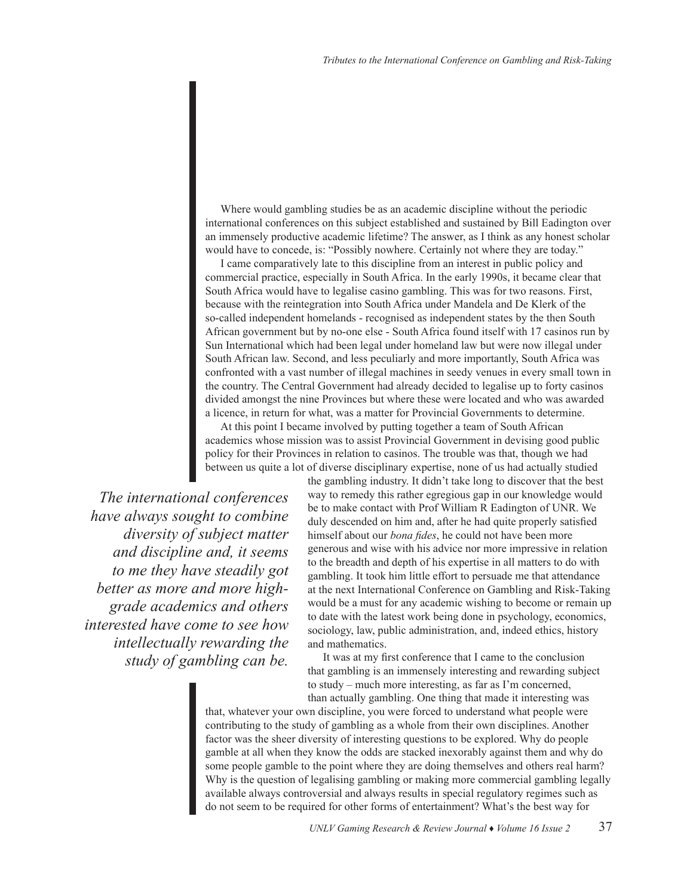Where would gambling studies be as an academic discipline without the periodic international conferences on this subject established and sustained by Bill Eadington over an immensely productive academic lifetime? The answer, as I think as any honest scholar would have to concede, is: "Possibly nowhere. Certainly not where they are today."

I came comparatively late to this discipline from an interest in public policy and commercial practice, especially in South Africa. In the early 1990s, it became clear that South Africa would have to legalise casino gambling. This was for two reasons. First, because with the reintegration into South Africa under Mandela and De Klerk of the so-called independent homelands - recognised as independent states by the then South African government but by no-one else - South Africa found itself with 17 casinos run by Sun International which had been legal under homeland law but were now illegal under South African law. Second, and less peculiarly and more importantly, South Africa was confronted with a vast number of illegal machines in seedy venues in every small town in the country. The Central Government had already decided to legalise up to forty casinos divided amongst the nine Provinces but where these were located and who was awarded a licence, in return for what, was a matter for Provincial Governments to determine.

At this point I became involved by putting together a team of South African academics whose mission was to assist Provincial Government in devising good public policy for their Provinces in relation to casinos. The trouble was that, though we had between us quite a lot of diverse disciplinary expertise, none of us had actually studied

*The international conferences have always sought to combine diversity of subject matter and discipline and, it seems to me they have steadily got better as more and more highgrade academics and others interested have come to see how intellectually rewarding the study of gambling can be.*  the gambling industry. It didn't take long to discover that the best way to remedy this rather egregious gap in our knowledge would be to make contact with Prof William R Eadington of UNR. We duly descended on him and, after he had quite properly satisfied himself about our *bona fides*, he could not have been more generous and wise with his advice nor more impressive in relation to the breadth and depth of his expertise in all matters to do with gambling. It took him little effort to persuade me that attendance at the next International Conference on Gambling and Risk-Taking would be a must for any academic wishing to become or remain up to date with the latest work being done in psychology, economics, sociology, law, public administration, and, indeed ethics, history and mathematics.

It was at my first conference that I came to the conclusion that gambling is an immensely interesting and rewarding subject to study – much more interesting, as far as I'm concerned, than actually gambling. One thing that made it interesting was

that, whatever your own discipline, you were forced to understand what people were contributing to the study of gambling as a whole from their own disciplines. Another factor was the sheer diversity of interesting questions to be explored. Why do people gamble at all when they know the odds are stacked inexorably against them and why do some people gamble to the point where they are doing themselves and others real harm? Why is the question of legalising gambling or making more commercial gambling legally available always controversial and always results in special regulatory regimes such as do not seem to be required for other forms of entertainment? What's the best way for